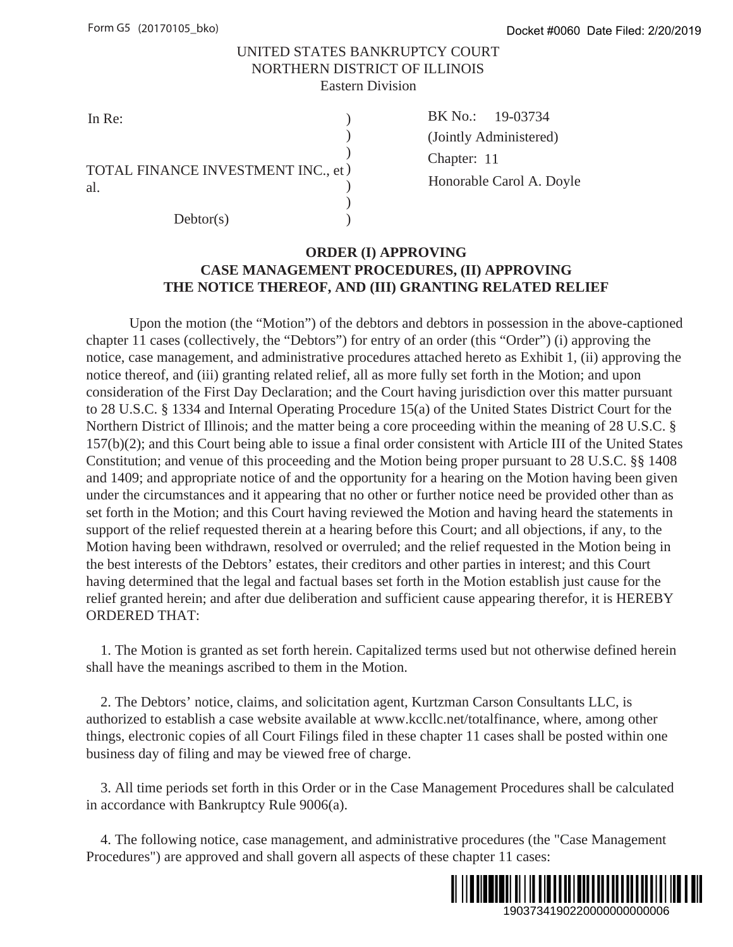## UNITED STATES BANKRUPTCY COURT NORTHERN DISTRICT OF ILLINOIS Eastern Division

| TOTAL FINANCE INVESTMENT INC., et ) |  |
|-------------------------------------|--|
| al.                                 |  |
|                                     |  |
| Dektor(s)                           |  |

In Re: BK No.:  $(\text{Chapter: } 11)$ BK No.: 19-03734 (Jointly Administered) Honorable Carol A. Doyle

# **ORDER (I) APPROVING CASE MANAGEMENT PROCEDURES, (II) APPROVING THE NOTICE THEREOF, AND (III) GRANTING RELATED RELIEF**

Upon the motion (the "Motion") of the debtors and debtors in possession in the above-captioned chapter 11 cases (collectively, the "Debtors") for entry of an order (this "Order") (i) approving the notice, case management, and administrative procedures attached hereto as Exhibit 1, (ii) approving the notice thereof, and (iii) granting related relief, all as more fully set forth in the Motion; and upon consideration of the First Day Declaration; and the Court having jurisdiction over this matter pursuant to 28 U.S.C. § 1334 and Internal Operating Procedure 15(a) of the United States District Court for the Northern District of Illinois; and the matter being a core proceeding within the meaning of 28 U.S.C. § 157(b)(2); and this Court being able to issue a final order consistent with Article III of the United States Constitution; and venue of this proceeding and the Motion being proper pursuant to 28 U.S.C. §§ 1408 and 1409; and appropriate notice of and the opportunity for a hearing on the Motion having been given under the circumstances and it appearing that no other or further notice need be provided other than as set forth in the Motion; and this Court having reviewed the Motion and having heard the statements in support of the relief requested therein at a hearing before this Court; and all objections, if any, to the Motion having been withdrawn, resolved or overruled; and the relief requested in the Motion being in the best interests of the Debtors' estates, their creditors and other parties in interest; and this Court having determined that the legal and factual bases set forth in the Motion establish just cause for the relief granted herein; and after due deliberation and sufficient cause appearing therefor, it is HEREBY ORDERED THAT: Docket #0060 Date Filed: 2/20/2019<br>
9-03734<br>
instered)<br>
arol A. Doyle<br> **PROVING**<br> **LATED RELIEF**<br>
sesssion in the above-captioned<br>
'Order'') (i) approving the<br>
as Exhibit 1, (ii) approving the<br>
as Exhibit 1, (ii) approvin

 1. The Motion is granted as set forth herein. Capitalized terms used but not otherwise defined herein shall have the meanings ascribed to them in the Motion.

 2. The Debtors' notice, claims, and solicitation agent, Kurtzman Carson Consultants LLC, is authorized to establish a case website available at www.kccllc.net/totalfinance, where, among other things, electronic copies of all Court Filings filed in these chapter 11 cases shall be posted within one business day of filing and may be viewed free of charge.

 3. All time periods set forth in this Order or in the Case Management Procedures shall be calculated in accordance with Bankruptcy Rule 9006(a).

 4. The following notice, case management, and administrative procedures (the "Case Management Procedures") are approved and shall govern all aspects of these chapter 11 cases:

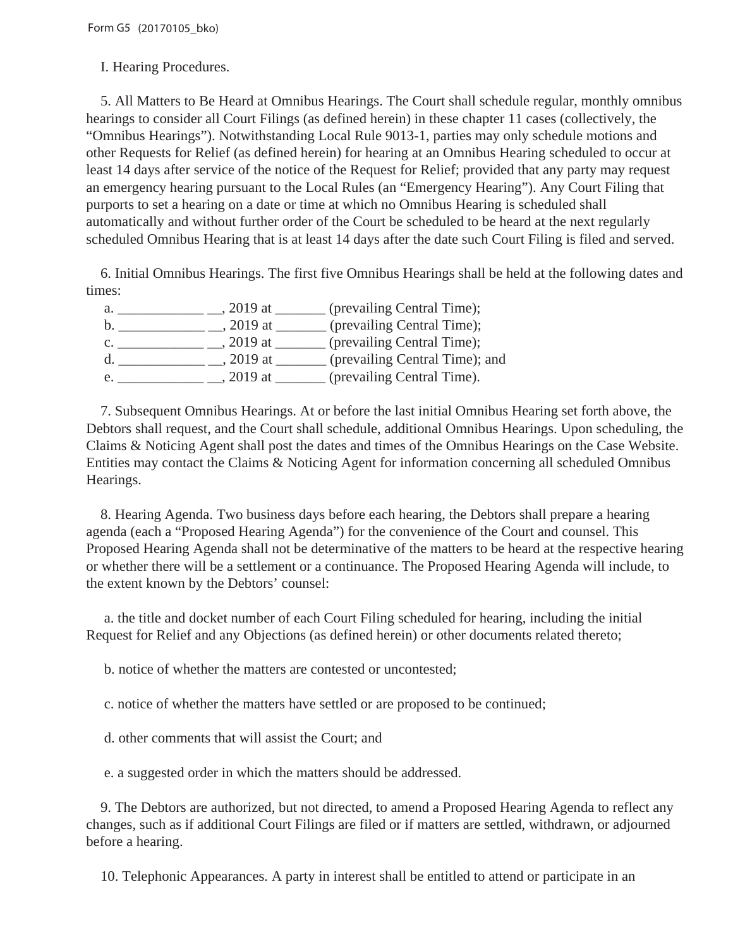I. Hearing Procedures.

 5. All Matters to Be Heard at Omnibus Hearings. The Court shall schedule regular, monthly omnibus hearings to consider all Court Filings (as defined herein) in these chapter 11 cases (collectively, the "Omnibus Hearings"). Notwithstanding Local Rule 9013-1, parties may only schedule motions and other Requests for Relief (as defined herein) for hearing at an Omnibus Hearing scheduled to occur at least 14 days after service of the notice of the Request for Relief; provided that any party may request an emergency hearing pursuant to the Local Rules (an "Emergency Hearing"). Any Court Filing that purports to set a hearing on a date or time at which no Omnibus Hearing is scheduled shall automatically and without further order of the Court be scheduled to be heard at the next regularly scheduled Omnibus Hearing that is at least 14 days after the date such Court Filing is filed and served.

 6. Initial Omnibus Hearings. The first five Omnibus Hearings shall be held at the following dates and times:

| a. | (prevailing Central Time);<br>$2019$ at     |  |
|----|---------------------------------------------|--|
|    | (prevailing Central Time);<br>$2019$ at     |  |
|    | (prevailing Central Time);<br>$2019$ at     |  |
|    | (prevailing Central Time); and<br>$2019$ at |  |
|    | (prevailing Central Time).<br>2019 at       |  |

 7. Subsequent Omnibus Hearings. At or before the last initial Omnibus Hearing set forth above, the Debtors shall request, and the Court shall schedule, additional Omnibus Hearings. Upon scheduling, the Claims & Noticing Agent shall post the dates and times of the Omnibus Hearings on the Case Website. Entities may contact the Claims & Noticing Agent for information concerning all scheduled Omnibus Hearings.

 8. Hearing Agenda. Two business days before each hearing, the Debtors shall prepare a hearing agenda (each a "Proposed Hearing Agenda") for the convenience of the Court and counsel. This Proposed Hearing Agenda shall not be determinative of the matters to be heard at the respective hearing or whether there will be a settlement or a continuance. The Proposed Hearing Agenda will include, to the extent known by the Debtors' counsel:

 a. the title and docket number of each Court Filing scheduled for hearing, including the initial Request for Relief and any Objections (as defined herein) or other documents related thereto;

b. notice of whether the matters are contested or uncontested;

c. notice of whether the matters have settled or are proposed to be continued;

d. other comments that will assist the Court; and

e. a suggested order in which the matters should be addressed.

 9. The Debtors are authorized, but not directed, to amend a Proposed Hearing Agenda to reflect any changes, such as if additional Court Filings are filed or if matters are settled, withdrawn, or adjourned before a hearing.

10. Telephonic Appearances. A party in interest shall be entitled to attend or participate in an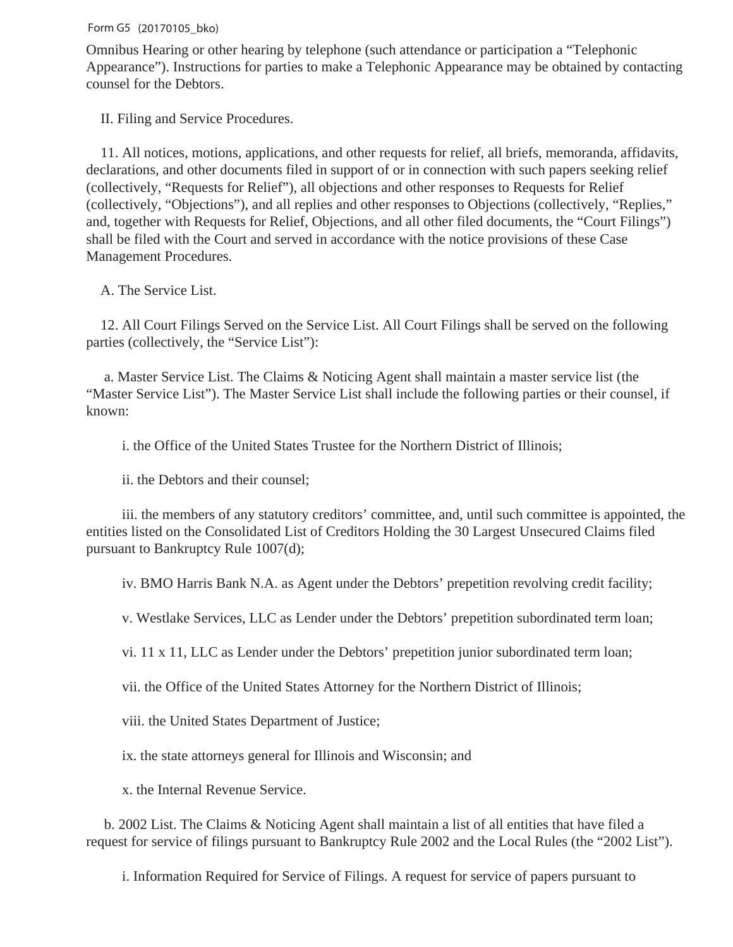Omnibus Hearing or other hearing by telephone (such attendance or participation a "Telephonic Appearance"). Instructions for parties to make a Telephonic Appearance may be obtained by contacting counsel for the Debtors.

II. Filing and Service Procedures.

 11. All notices, motions, applications, and other requests for relief, all briefs, memoranda, affidavits, declarations, and other documents filed in support of or in connection with such papers seeking relief (collectively, "Requests for Relief"), all objections and other responses to Requests for Relief (collectively, "Objections"), and all replies and other responses to Objections (collectively, "Replies," and, together with Requests for Relief, Objections, and all other filed documents, the "Court Filings") shall be filed with the Court and served in accordance with the notice provisions of these Case Management Procedures.

A. The Service List.

 12. All Court Filings Served on the Service List. All Court Filings shall be served on the following parties (collectively, the "Service List"):

 a. Master Service List. The Claims & Noticing Agent shall maintain a master service list (the "Master Service List"). The Master Service List shall include the following parties or their counsel, if known:

i. the Office of the United States Trustee for the Northern District of Illinois;

ii. the Debtors and their counsel;

 iii. the members of any statutory creditors' committee, and, until such committee is appointed, the entities listed on the Consolidated List of Creditors Holding the 30 Largest Unsecured Claims filed pursuant to Bankruptcy Rule 1007(d);

iv. BMO Harris Bank N.A. as Agent under the Debtors' prepetition revolving credit facility;

v. Westlake Services, LLC as Lender under the Debtors' prepetition subordinated term loan;

vi. 11 x 11, LLC as Lender under the Debtors' prepetition junior subordinated term loan;

vii. the Office of the United States Attorney for the Northern District of Illinois;

viii. the United States Department of Justice;

ix. the state attorneys general for Illinois and Wisconsin; and

x. the Internal Revenue Service.

 b. 2002 List. The Claims & Noticing Agent shall maintain a list of all entities that have filed a request for service of filings pursuant to Bankruptcy Rule 2002 and the Local Rules (the "2002 List").

i. Information Required for Service of Filings. A request for service of papers pursuant to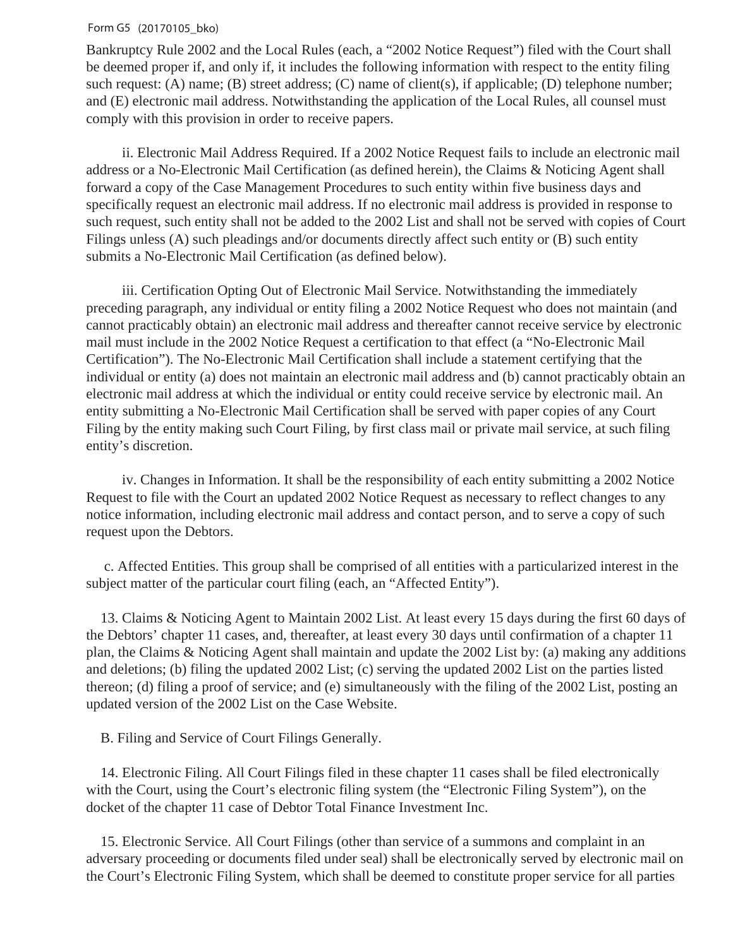Bankruptcy Rule 2002 and the Local Rules (each, a "2002 Notice Request") filed with the Court shall be deemed proper if, and only if, it includes the following information with respect to the entity filing such request: (A) name; (B) street address; (C) name of client(s), if applicable; (D) telephone number; and (E) electronic mail address. Notwithstanding the application of the Local Rules, all counsel must comply with this provision in order to receive papers.

 ii. Electronic Mail Address Required. If a 2002 Notice Request fails to include an electronic mail address or a No-Electronic Mail Certification (as defined herein), the Claims & Noticing Agent shall forward a copy of the Case Management Procedures to such entity within five business days and specifically request an electronic mail address. If no electronic mail address is provided in response to such request, such entity shall not be added to the 2002 List and shall not be served with copies of Court Filings unless (A) such pleadings and/or documents directly affect such entity or (B) such entity submits a No-Electronic Mail Certification (as defined below).

 iii. Certification Opting Out of Electronic Mail Service. Notwithstanding the immediately preceding paragraph, any individual or entity filing a 2002 Notice Request who does not maintain (and cannot practicably obtain) an electronic mail address and thereafter cannot receive service by electronic mail must include in the 2002 Notice Request a certification to that effect (a "No-Electronic Mail Certification"). The No-Electronic Mail Certification shall include a statement certifying that the individual or entity (a) does not maintain an electronic mail address and (b) cannot practicably obtain an electronic mail address at which the individual or entity could receive service by electronic mail. An entity submitting a No-Electronic Mail Certification shall be served with paper copies of any Court Filing by the entity making such Court Filing, by first class mail or private mail service, at such filing entity's discretion.

 iv. Changes in Information. It shall be the responsibility of each entity submitting a 2002 Notice Request to file with the Court an updated 2002 Notice Request as necessary to reflect changes to any notice information, including electronic mail address and contact person, and to serve a copy of such request upon the Debtors.

 c. Affected Entities. This group shall be comprised of all entities with a particularized interest in the subject matter of the particular court filing (each, an "Affected Entity").

 13. Claims & Noticing Agent to Maintain 2002 List. At least every 15 days during the first 60 days of the Debtors' chapter 11 cases, and, thereafter, at least every 30 days until confirmation of a chapter 11 plan, the Claims & Noticing Agent shall maintain and update the 2002 List by: (a) making any additions and deletions; (b) filing the updated 2002 List; (c) serving the updated 2002 List on the parties listed thereon; (d) filing a proof of service; and (e) simultaneously with the filing of the 2002 List, posting an updated version of the 2002 List on the Case Website.

B. Filing and Service of Court Filings Generally.

 14. Electronic Filing. All Court Filings filed in these chapter 11 cases shall be filed electronically with the Court, using the Court's electronic filing system (the "Electronic Filing System"), on the docket of the chapter 11 case of Debtor Total Finance Investment Inc.

 15. Electronic Service. All Court Filings (other than service of a summons and complaint in an adversary proceeding or documents filed under seal) shall be electronically served by electronic mail on the Court's Electronic Filing System, which shall be deemed to constitute proper service for all parties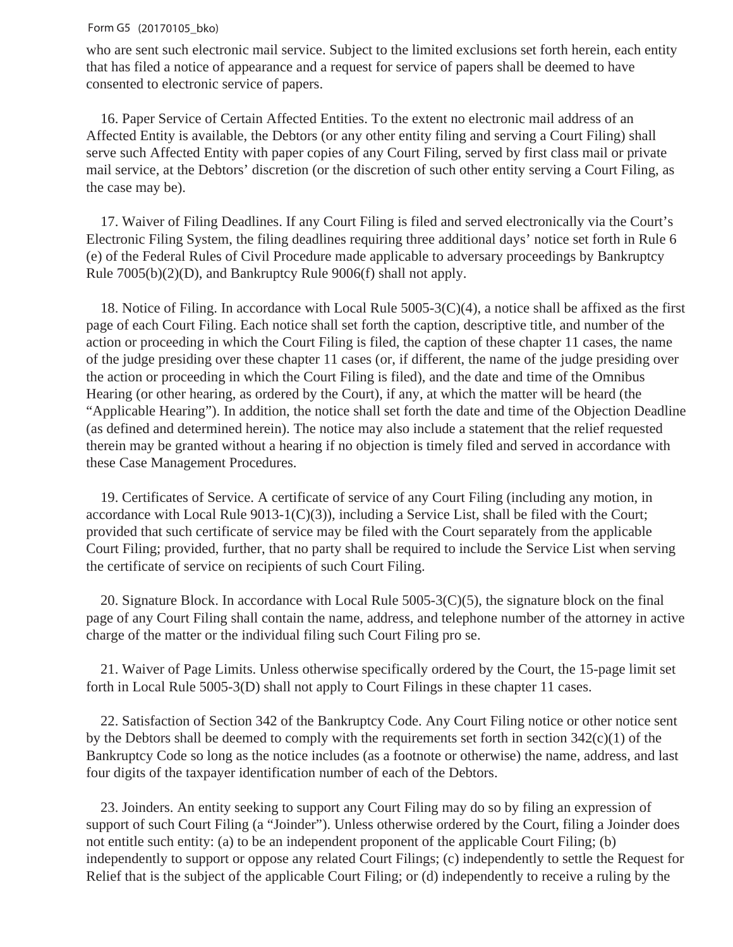who are sent such electronic mail service. Subject to the limited exclusions set forth herein, each entity that has filed a notice of appearance and a request for service of papers shall be deemed to have consented to electronic service of papers.

 16. Paper Service of Certain Affected Entities. To the extent no electronic mail address of an Affected Entity is available, the Debtors (or any other entity filing and serving a Court Filing) shall serve such Affected Entity with paper copies of any Court Filing, served by first class mail or private mail service, at the Debtors' discretion (or the discretion of such other entity serving a Court Filing, as the case may be).

 17. Waiver of Filing Deadlines. If any Court Filing is filed and served electronically via the Court's Electronic Filing System, the filing deadlines requiring three additional days' notice set forth in Rule 6 (e) of the Federal Rules of Civil Procedure made applicable to adversary proceedings by Bankruptcy Rule 7005(b)(2)(D), and Bankruptcy Rule 9006(f) shall not apply.

 18. Notice of Filing. In accordance with Local Rule 5005-3(C)(4), a notice shall be affixed as the first page of each Court Filing. Each notice shall set forth the caption, descriptive title, and number of the action or proceeding in which the Court Filing is filed, the caption of these chapter 11 cases, the name of the judge presiding over these chapter 11 cases (or, if different, the name of the judge presiding over the action or proceeding in which the Court Filing is filed), and the date and time of the Omnibus Hearing (or other hearing, as ordered by the Court), if any, at which the matter will be heard (the "Applicable Hearing"). In addition, the notice shall set forth the date and time of the Objection Deadline (as defined and determined herein). The notice may also include a statement that the relief requested therein may be granted without a hearing if no objection is timely filed and served in accordance with these Case Management Procedures.

 19. Certificates of Service. A certificate of service of any Court Filing (including any motion, in accordance with Local Rule 9013-1(C)(3)), including a Service List, shall be filed with the Court; provided that such certificate of service may be filed with the Court separately from the applicable Court Filing; provided, further, that no party shall be required to include the Service List when serving the certificate of service on recipients of such Court Filing.

 20. Signature Block. In accordance with Local Rule 5005-3(C)(5), the signature block on the final page of any Court Filing shall contain the name, address, and telephone number of the attorney in active charge of the matter or the individual filing such Court Filing pro se.

 21. Waiver of Page Limits. Unless otherwise specifically ordered by the Court, the 15-page limit set forth in Local Rule 5005-3(D) shall not apply to Court Filings in these chapter 11 cases.

 22. Satisfaction of Section 342 of the Bankruptcy Code. Any Court Filing notice or other notice sent by the Debtors shall be deemed to comply with the requirements set forth in section 342(c)(1) of the Bankruptcy Code so long as the notice includes (as a footnote or otherwise) the name, address, and last four digits of the taxpayer identification number of each of the Debtors.

 23. Joinders. An entity seeking to support any Court Filing may do so by filing an expression of support of such Court Filing (a "Joinder"). Unless otherwise ordered by the Court, filing a Joinder does not entitle such entity: (a) to be an independent proponent of the applicable Court Filing; (b) independently to support or oppose any related Court Filings; (c) independently to settle the Request for Relief that is the subject of the applicable Court Filing; or (d) independently to receive a ruling by the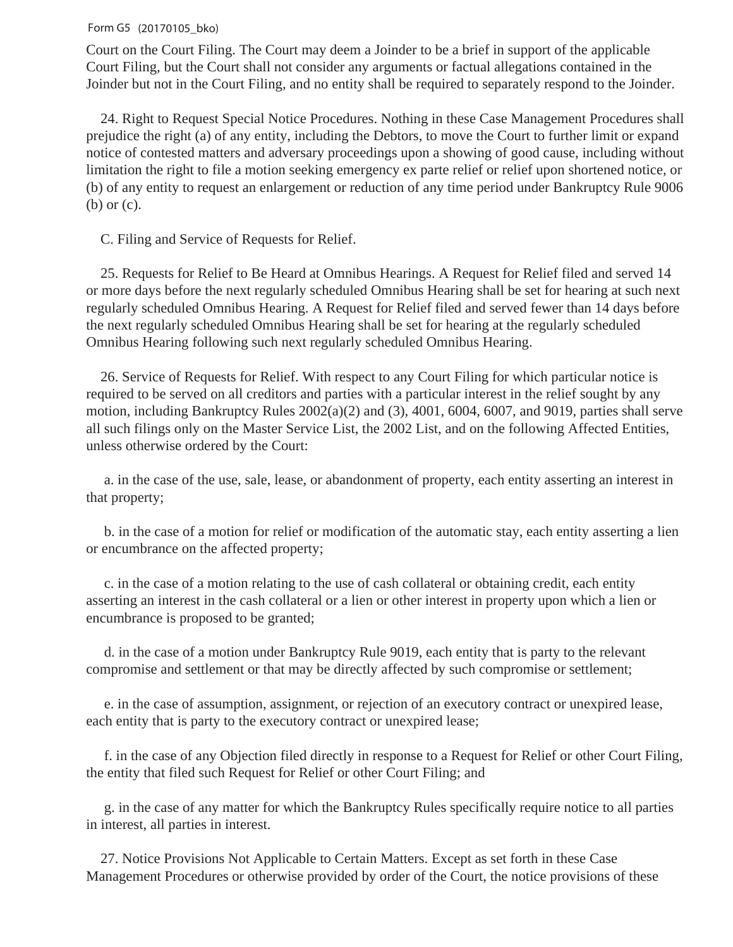Court on the Court Filing. The Court may deem a Joinder to be a brief in support of the applicable Court Filing, but the Court shall not consider any arguments or factual allegations contained in the Joinder but not in the Court Filing, and no entity shall be required to separately respond to the Joinder.

 24. Right to Request Special Notice Procedures. Nothing in these Case Management Procedures shall prejudice the right (a) of any entity, including the Debtors, to move the Court to further limit or expand notice of contested matters and adversary proceedings upon a showing of good cause, including without limitation the right to file a motion seeking emergency ex parte relief or relief upon shortened notice, or (b) of any entity to request an enlargement or reduction of any time period under Bankruptcy Rule 9006 (b) or (c).

C. Filing and Service of Requests for Relief.

 25. Requests for Relief to Be Heard at Omnibus Hearings. A Request for Relief filed and served 14 or more days before the next regularly scheduled Omnibus Hearing shall be set for hearing at such next regularly scheduled Omnibus Hearing. A Request for Relief filed and served fewer than 14 days before the next regularly scheduled Omnibus Hearing shall be set for hearing at the regularly scheduled Omnibus Hearing following such next regularly scheduled Omnibus Hearing.

 26. Service of Requests for Relief. With respect to any Court Filing for which particular notice is required to be served on all creditors and parties with a particular interest in the relief sought by any motion, including Bankruptcy Rules 2002(a)(2) and (3), 4001, 6004, 6007, and 9019, parties shall serve all such filings only on the Master Service List, the 2002 List, and on the following Affected Entities, unless otherwise ordered by the Court:

 a. in the case of the use, sale, lease, or abandonment of property, each entity asserting an interest in that property;

 b. in the case of a motion for relief or modification of the automatic stay, each entity asserting a lien or encumbrance on the affected property;

 c. in the case of a motion relating to the use of cash collateral or obtaining credit, each entity asserting an interest in the cash collateral or a lien or other interest in property upon which a lien or encumbrance is proposed to be granted;

 d. in the case of a motion under Bankruptcy Rule 9019, each entity that is party to the relevant compromise and settlement or that may be directly affected by such compromise or settlement;

 e. in the case of assumption, assignment, or rejection of an executory contract or unexpired lease, each entity that is party to the executory contract or unexpired lease;

 f. in the case of any Objection filed directly in response to a Request for Relief or other Court Filing, the entity that filed such Request for Relief or other Court Filing; and

 g. in the case of any matter for which the Bankruptcy Rules specifically require notice to all parties in interest, all parties in interest.

 27. Notice Provisions Not Applicable to Certain Matters. Except as set forth in these Case Management Procedures or otherwise provided by order of the Court, the notice provisions of these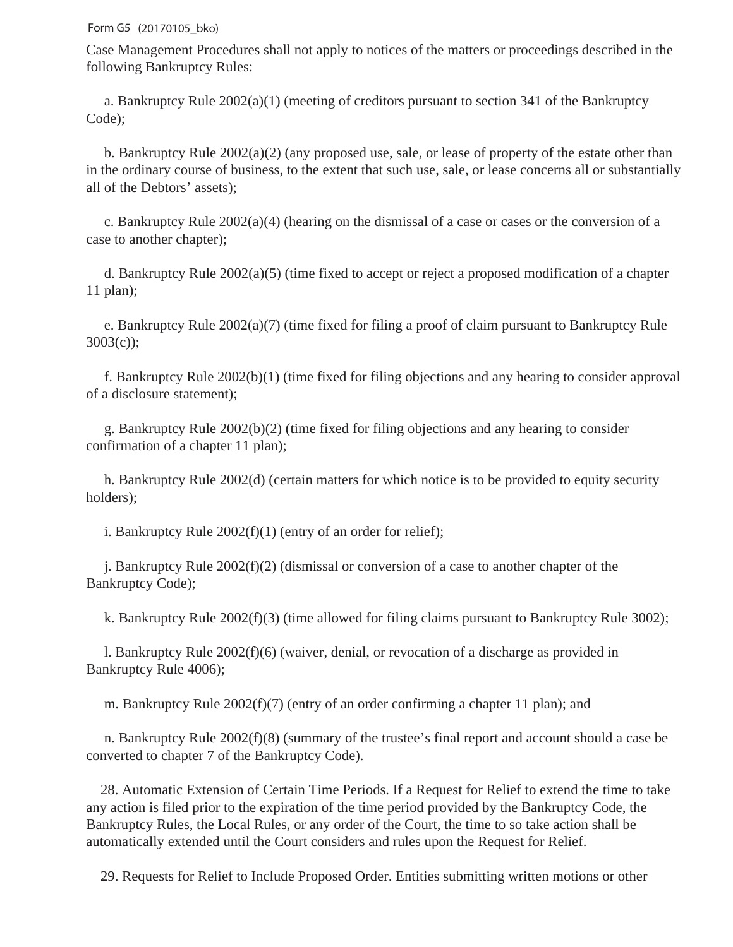Case Management Procedures shall not apply to notices of the matters or proceedings described in the following Bankruptcy Rules:

 a. Bankruptcy Rule 2002(a)(1) (meeting of creditors pursuant to section 341 of the Bankruptcy Code);

 b. Bankruptcy Rule 2002(a)(2) (any proposed use, sale, or lease of property of the estate other than in the ordinary course of business, to the extent that such use, sale, or lease concerns all or substantially all of the Debtors' assets);

 c. Bankruptcy Rule 2002(a)(4) (hearing on the dismissal of a case or cases or the conversion of a case to another chapter);

 d. Bankruptcy Rule 2002(a)(5) (time fixed to accept or reject a proposed modification of a chapter 11 plan);

 e. Bankruptcy Rule 2002(a)(7) (time fixed for filing a proof of claim pursuant to Bankruptcy Rule 3003(c));

 f. Bankruptcy Rule 2002(b)(1) (time fixed for filing objections and any hearing to consider approval of a disclosure statement);

 g. Bankruptcy Rule 2002(b)(2) (time fixed for filing objections and any hearing to consider confirmation of a chapter 11 plan);

 h. Bankruptcy Rule 2002(d) (certain matters for which notice is to be provided to equity security holders);

i. Bankruptcy Rule 2002(f)(1) (entry of an order for relief);

 j. Bankruptcy Rule 2002(f)(2) (dismissal or conversion of a case to another chapter of the Bankruptcy Code);

k. Bankruptcy Rule 2002(f)(3) (time allowed for filing claims pursuant to Bankruptcy Rule 3002);

 l. Bankruptcy Rule 2002(f)(6) (waiver, denial, or revocation of a discharge as provided in Bankruptcy Rule 4006);

m. Bankruptcy Rule 2002(f)(7) (entry of an order confirming a chapter 11 plan); and

 n. Bankruptcy Rule 2002(f)(8) (summary of the trustee's final report and account should a case be converted to chapter 7 of the Bankruptcy Code).

 28. Automatic Extension of Certain Time Periods. If a Request for Relief to extend the time to take any action is filed prior to the expiration of the time period provided by the Bankruptcy Code, the Bankruptcy Rules, the Local Rules, or any order of the Court, the time to so take action shall be automatically extended until the Court considers and rules upon the Request for Relief.

29. Requests for Relief to Include Proposed Order. Entities submitting written motions or other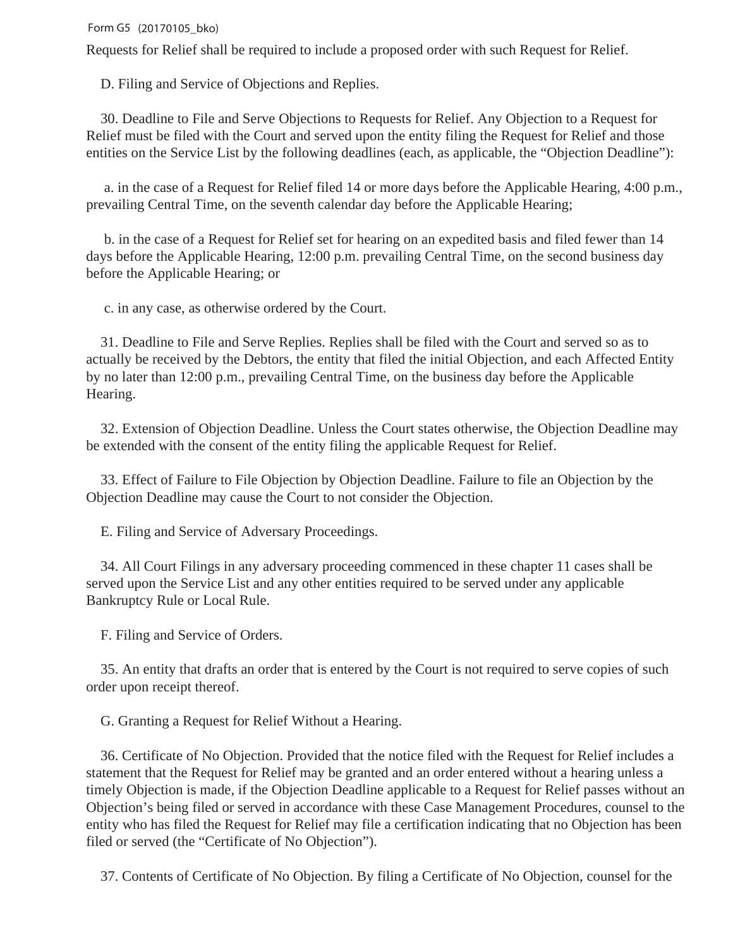Requests for Relief shall be required to include a proposed order with such Request for Relief.

D. Filing and Service of Objections and Replies.

 30. Deadline to File and Serve Objections to Requests for Relief. Any Objection to a Request for Relief must be filed with the Court and served upon the entity filing the Request for Relief and those entities on the Service List by the following deadlines (each, as applicable, the "Objection Deadline"):

 a. in the case of a Request for Relief filed 14 or more days before the Applicable Hearing, 4:00 p.m., prevailing Central Time, on the seventh calendar day before the Applicable Hearing;

 b. in the case of a Request for Relief set for hearing on an expedited basis and filed fewer than 14 days before the Applicable Hearing, 12:00 p.m. prevailing Central Time, on the second business day before the Applicable Hearing; or

c. in any case, as otherwise ordered by the Court.

 31. Deadline to File and Serve Replies. Replies shall be filed with the Court and served so as to actually be received by the Debtors, the entity that filed the initial Objection, and each Affected Entity by no later than 12:00 p.m., prevailing Central Time, on the business day before the Applicable Hearing.

 32. Extension of Objection Deadline. Unless the Court states otherwise, the Objection Deadline may be extended with the consent of the entity filing the applicable Request for Relief.

 33. Effect of Failure to File Objection by Objection Deadline. Failure to file an Objection by the Objection Deadline may cause the Court to not consider the Objection.

E. Filing and Service of Adversary Proceedings.

 34. All Court Filings in any adversary proceeding commenced in these chapter 11 cases shall be served upon the Service List and any other entities required to be served under any applicable Bankruptcy Rule or Local Rule.

F. Filing and Service of Orders.

 35. An entity that drafts an order that is entered by the Court is not required to serve copies of such order upon receipt thereof.

G. Granting a Request for Relief Without a Hearing.

 36. Certificate of No Objection. Provided that the notice filed with the Request for Relief includes a statement that the Request for Relief may be granted and an order entered without a hearing unless a timely Objection is made, if the Objection Deadline applicable to a Request for Relief passes without an Objection's being filed or served in accordance with these Case Management Procedures, counsel to the entity who has filed the Request for Relief may file a certification indicating that no Objection has been filed or served (the "Certificate of No Objection").

37. Contents of Certificate of No Objection. By filing a Certificate of No Objection, counsel for the